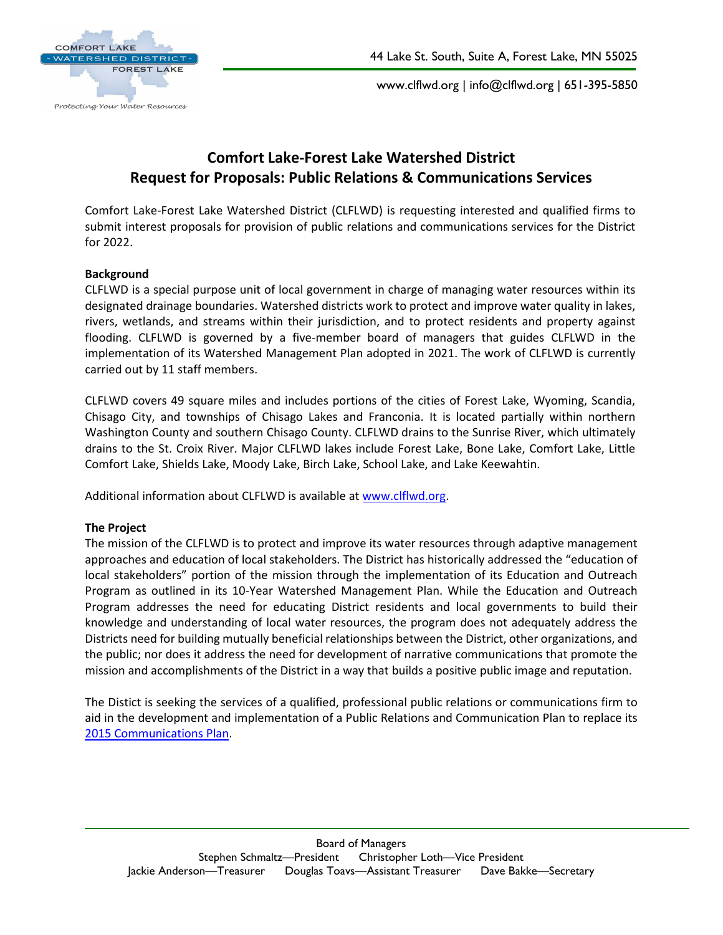

www.clflwd.org | info@clflwd.org | 651-395-5850

# **Comfort Lake-Forest Lake Watershed District Request for Proposals: Public Relations & Communications Services**

Comfort Lake-Forest Lake Watershed District (CLFLWD) is requesting interested and qualified firms to submit interest proposals for provision of public relations and communications services for the District for 2022.

#### **Background**

CLFLWD is a special purpose unit of local government in charge of managing water resources within its designated drainage boundaries. Watershed districts work to protect and improve water quality in lakes, rivers, wetlands, and streams within their jurisdiction, and to protect residents and property against flooding. CLFLWD is governed by a five-member board of managers that guides CLFLWD in the implementation of its Watershed Management Plan adopted in 2021. The work of CLFLWD is currently carried out by 11 staff members.

CLFLWD covers 49 square miles and includes portions of the cities of Forest Lake, Wyoming, Scandia, Chisago City, and townships of Chisago Lakes and Franconia. It is located partially within northern Washington County and southern Chisago County. CLFLWD drains to the Sunrise River, which ultimately drains to the St. Croix River. Major CLFLWD lakes include Forest Lake, Bone Lake, Comfort Lake, Little Comfort Lake, Shields Lake, Moody Lake, Birch Lake, School Lake, and Lake Keewahtin.

Additional information about CLFLWD is available at [www.clflwd.org.](http://www.clflwd.org/)

#### **The Project**

The mission of the CLFLWD is to protect and improve its water resources through adaptive management approaches and education of local stakeholders. The District has historically addressed the "education of local stakeholders" portion of the mission through the implementation of its Education and Outreach Program as outlined in its 10-Year Watershed Management Plan. While the Education and Outreach Program addresses the need for educating District residents and local governments to build their knowledge and understanding of local water resources, the program does not adequately address the Districts need for building mutually beneficial relationships between the District, other organizations, and the public; nor does it address the need for development of narrative communications that promote the mission and accomplishments of the District in a way that builds a positive public image and reputation.

The Distict is seeking the services of a qualified, professional public relations or communications firm to aid in the development and implementation of a Public Relations and Communication Plan to replace its [2015 Communications Plan.](http://clflwd.org/documents/CLFLWDCommunicationPlan-FINAL.pdf)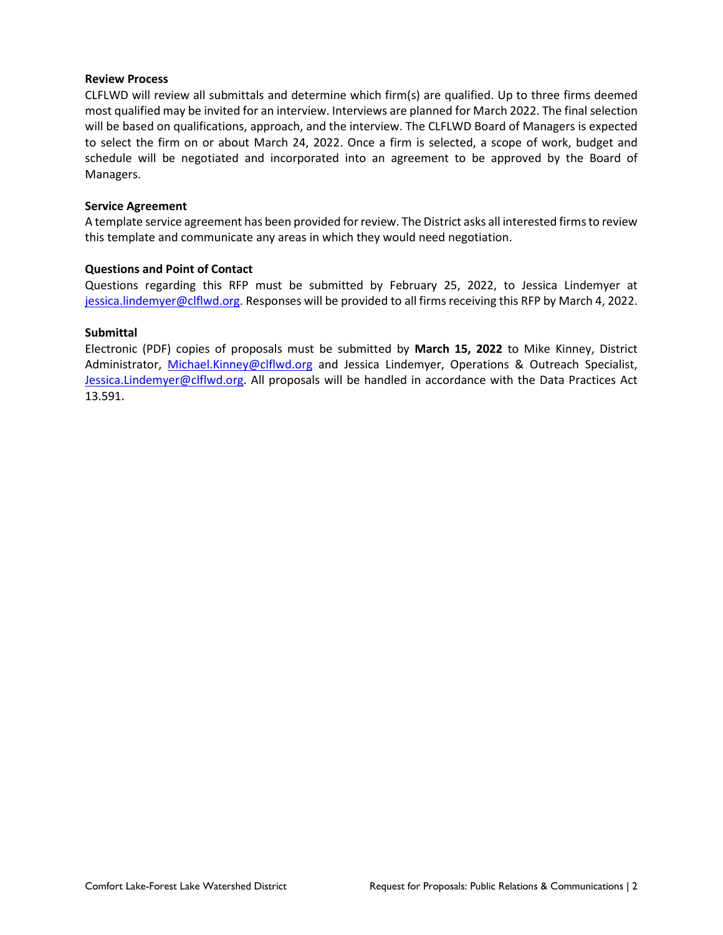#### **Review Process**

CLFLWD will review all submittals and determine which firm(s) are qualified. Up to three firms deemed most qualified may be invited for an interview. Interviews are planned for March 2022. The final selection will be based on qualifications, approach, and the interview. The CLFLWD Board of Managers is expected to select the firm on or about March 24, 2022. Once a firm is selected, a scope of work, budget and schedule will be negotiated and incorporated into an agreement to be approved by the Board of Managers.

#### **Service Agreement**

A template service agreement has been provided for review. The District asks all interested firms to review this template and communicate any areas in which they would need negotiation.

#### **Questions and Point of Contact**

Questions regarding this RFP must be submitted by February 25, 2022, to Jessica Lindemyer at [jessica.lindemyer@clflwd.org.](mailto:jessica.lindemyer@clflwd.org) Responses will be provided to all firms receiving this RFP by March 4, 2022.

#### **Submittal**

Electronic (PDF) copies of proposals must be submitted by **March 15, 2022** to Mike Kinney, District Administrator, [Michael.Kinney@clflwd.org](mailto:Michael.Kinney@clflwd.org) and Jessica Lindemyer, Operations & Outreach Specialist, [Jessica.Lindemyer@clflwd.org.](mailto:Jessica.Lindemyer@clflwd.org) All proposals will be handled in accordance with the Data Practices Act 13.591.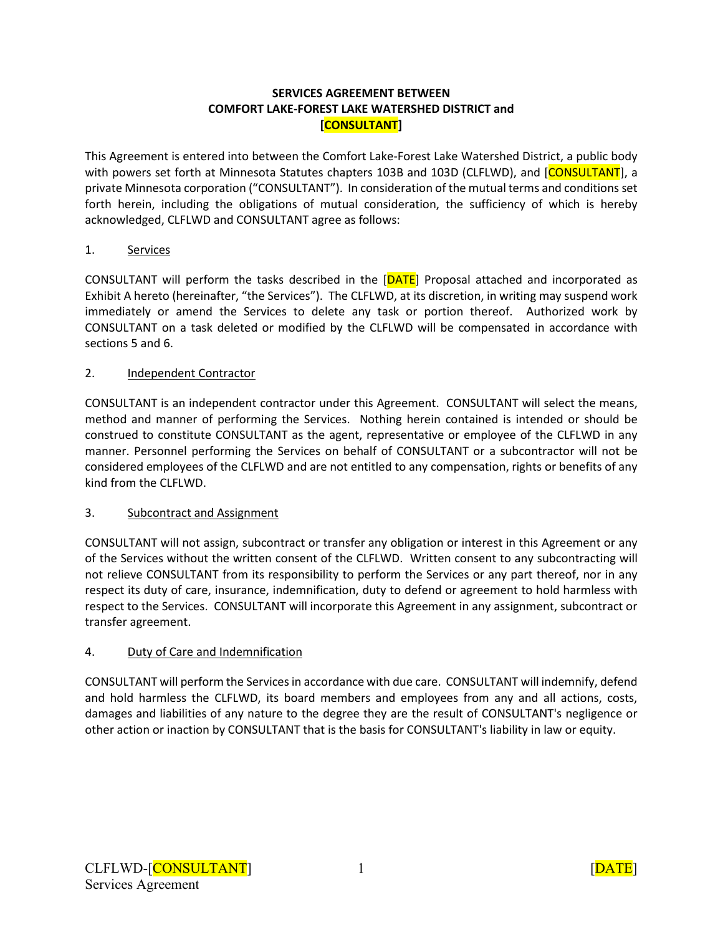#### **SERVICES AGREEMENT BETWEEN COMFORT LAKE-FOREST LAKE WATERSHED DISTRICT and [CONSULTANT]**

This Agreement is entered into between the Comfort Lake-Forest Lake Watershed District, a public body with powers set forth at Minnesota Statutes chapters 103B and 103D (CLFLWD), and [CONSULTANT], a private Minnesota corporation ("CONSULTANT"). In consideration of the mutual terms and conditions set forth herein, including the obligations of mutual consideration, the sufficiency of which is hereby acknowledged, CLFLWD and CONSULTANT agree as follows:

# 1. Services

CONSULTANT will perform the tasks described in the [DATE] Proposal attached and incorporated as Exhibit A hereto (hereinafter, "the Services"). The CLFLWD, at its discretion, in writing may suspend work immediately or amend the Services to delete any task or portion thereof. Authorized work by CONSULTANT on a task deleted or modified by the CLFLWD will be compensated in accordance with sections 5 and 6.

### 2. Independent Contractor

CONSULTANT is an independent contractor under this Agreement. CONSULTANT will select the means, method and manner of performing the Services. Nothing herein contained is intended or should be construed to constitute CONSULTANT as the agent, representative or employee of the CLFLWD in any manner. Personnel performing the Services on behalf of CONSULTANT or a subcontractor will not be considered employees of the CLFLWD and are not entitled to any compensation, rights or benefits of any kind from the CLFLWD.

### 3. Subcontract and Assignment

CONSULTANT will not assign, subcontract or transfer any obligation or interest in this Agreement or any of the Services without the written consent of the CLFLWD. Written consent to any subcontracting will not relieve CONSULTANT from its responsibility to perform the Services or any part thereof, nor in any respect its duty of care, insurance, indemnification, duty to defend or agreement to hold harmless with respect to the Services. CONSULTANT will incorporate this Agreement in any assignment, subcontract or transfer agreement.

# 4. Duty of Care and Indemnification

CONSULTANT will perform the Services in accordance with due care. CONSULTANT will indemnify, defend and hold harmless the CLFLWD, its board members and employees from any and all actions, costs, damages and liabilities of any nature to the degree they are the result of CONSULTANT's negligence or other action or inaction by CONSULTANT that is the basis for CONSULTANT's liability in law or equity.

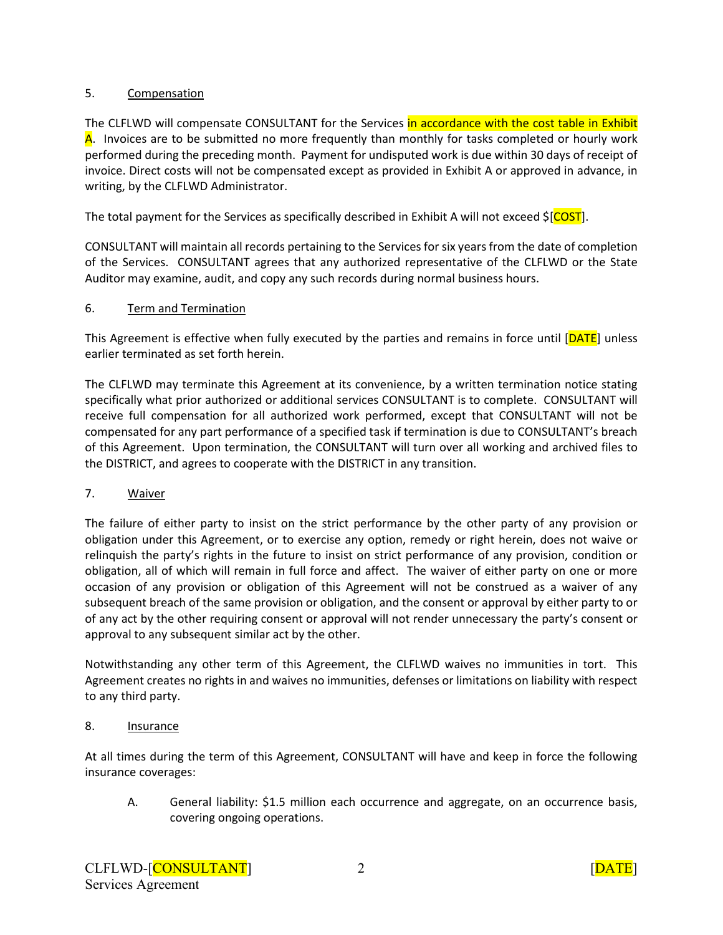# 5. Compensation

The CLFLWD will compensate CONSULTANT for the Services in accordance with the cost table in Exhibit A. Invoices are to be submitted no more frequently than monthly for tasks completed or hourly work performed during the preceding month. Payment for undisputed work is due within 30 days of receipt of invoice. Direct costs will not be compensated except as provided in Exhibit A or approved in advance, in writing, by the CLFLWD Administrator.

The total payment for the Services as specifically described in Exhibit A will not exceed \$[COST].

CONSULTANT will maintain all records pertaining to the Services for six years from the date of completion of the Services. CONSULTANT agrees that any authorized representative of the CLFLWD or the State Auditor may examine, audit, and copy any such records during normal business hours.

#### 6. Term and Termination

This Agreement is effective when fully executed by the parties and remains in force until [DATE] unless earlier terminated as set forth herein.

The CLFLWD may terminate this Agreement at its convenience, by a written termination notice stating specifically what prior authorized or additional services CONSULTANT is to complete. CONSULTANT will receive full compensation for all authorized work performed, except that CONSULTANT will not be compensated for any part performance of a specified task if termination is due to CONSULTANT's breach of this Agreement. Upon termination, the CONSULTANT will turn over all working and archived files to the DISTRICT, and agrees to cooperate with the DISTRICT in any transition.

### 7. Waiver

The failure of either party to insist on the strict performance by the other party of any provision or obligation under this Agreement, or to exercise any option, remedy or right herein, does not waive or relinquish the party's rights in the future to insist on strict performance of any provision, condition or obligation, all of which will remain in full force and affect. The waiver of either party on one or more occasion of any provision or obligation of this Agreement will not be construed as a waiver of any subsequent breach of the same provision or obligation, and the consent or approval by either party to or of any act by the other requiring consent or approval will not render unnecessary the party's consent or approval to any subsequent similar act by the other.

Notwithstanding any other term of this Agreement, the CLFLWD waives no immunities in tort. This Agreement creates no rights in and waives no immunities, defenses or limitations on liability with respect to any third party.

### 8. **Insurance**

At all times during the term of this Agreement, CONSULTANT will have and keep in force the following insurance coverages:

A. General liability: \$1.5 million each occurrence and aggregate, on an occurrence basis, covering ongoing operations.

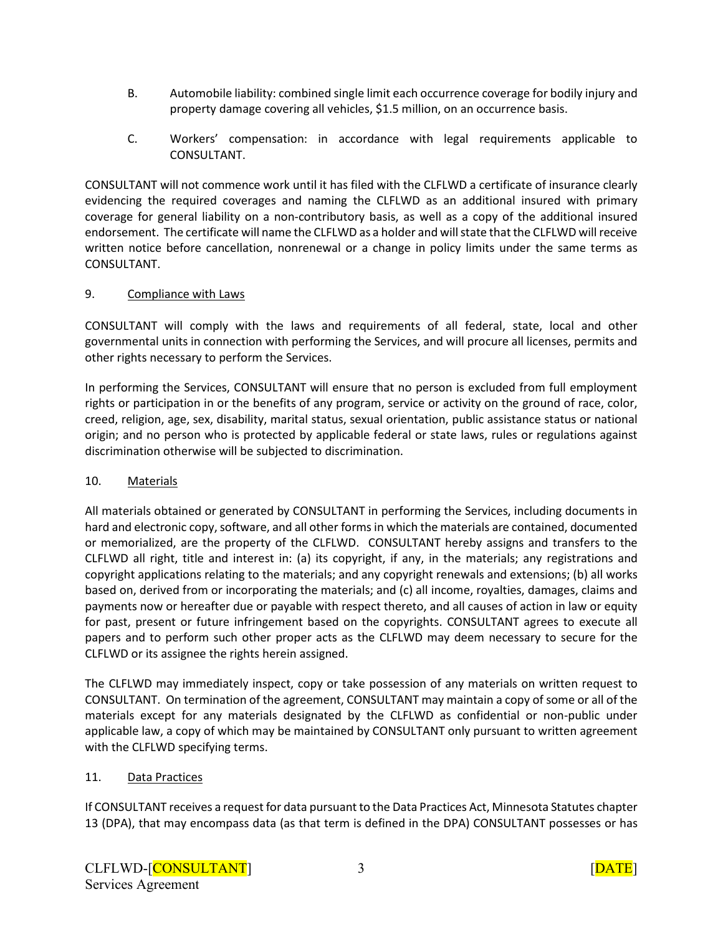- B. Automobile liability: combined single limit each occurrence coverage for bodily injury and property damage covering all vehicles, \$1.5 million, on an occurrence basis.
- C. Workers' compensation: in accordance with legal requirements applicable to CONSULTANT.

CONSULTANT will not commence work until it has filed with the CLFLWD a certificate of insurance clearly evidencing the required coverages and naming the CLFLWD as an additional insured with primary coverage for general liability on a non-contributory basis, as well as a copy of the additional insured endorsement. The certificate will name the CLFLWD as a holder and will state that the CLFLWD will receive written notice before cancellation, nonrenewal or a change in policy limits under the same terms as CONSULTANT.

### 9. Compliance with Laws

CONSULTANT will comply with the laws and requirements of all federal, state, local and other governmental units in connection with performing the Services, and will procure all licenses, permits and other rights necessary to perform the Services.

In performing the Services, CONSULTANT will ensure that no person is excluded from full employment rights or participation in or the benefits of any program, service or activity on the ground of race, color, creed, religion, age, sex, disability, marital status, sexual orientation, public assistance status or national origin; and no person who is protected by applicable federal or state laws, rules or regulations against discrimination otherwise will be subjected to discrimination.

# 10. Materials

All materials obtained or generated by CONSULTANT in performing the Services, including documents in hard and electronic copy, software, and all other forms in which the materials are contained, documented or memorialized, are the property of the CLFLWD. CONSULTANT hereby assigns and transfers to the CLFLWD all right, title and interest in: (a) its copyright, if any, in the materials; any registrations and copyright applications relating to the materials; and any copyright renewals and extensions; (b) all works based on, derived from or incorporating the materials; and (c) all income, royalties, damages, claims and payments now or hereafter due or payable with respect thereto, and all causes of action in law or equity for past, present or future infringement based on the copyrights. CONSULTANT agrees to execute all papers and to perform such other proper acts as the CLFLWD may deem necessary to secure for the CLFLWD or its assignee the rights herein assigned.

The CLFLWD may immediately inspect, copy or take possession of any materials on written request to CONSULTANT. On termination of the agreement, CONSULTANT may maintain a copy of some or all of the materials except for any materials designated by the CLFLWD as confidential or non-public under applicable law, a copy of which may be maintained by CONSULTANT only pursuant to written agreement with the CLFLWD specifying terms.

# 11. Data Practices

If CONSULTANT receives a request for data pursuant to the Data Practices Act, Minnesota Statutes chapter 13 (DPA), that may encompass data (as that term is defined in the DPA) CONSULTANT possesses or has

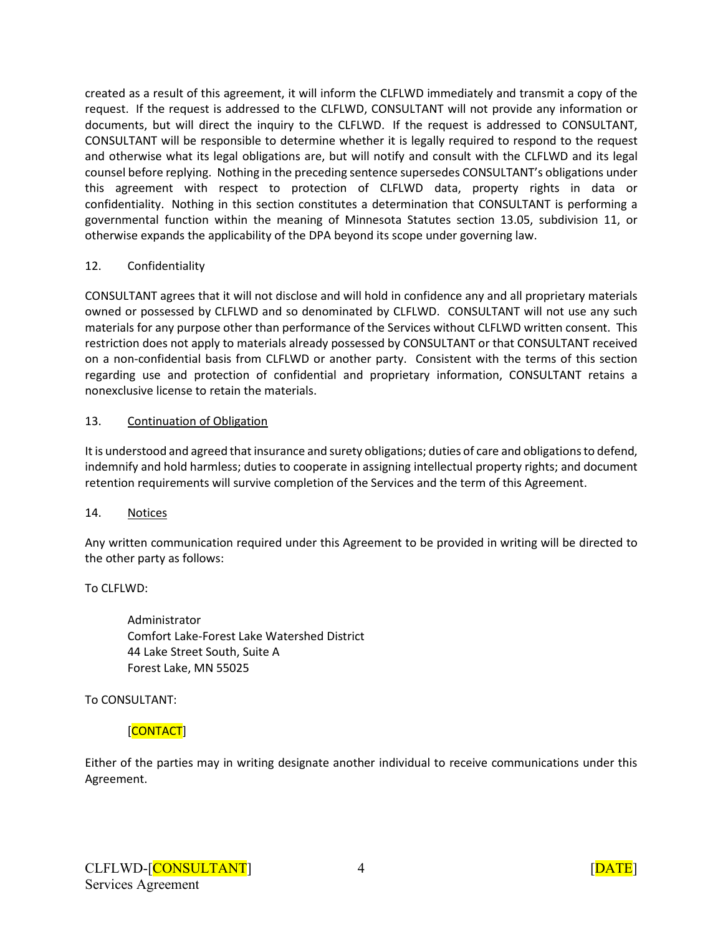created as a result of this agreement, it will inform the CLFLWD immediately and transmit a copy of the request. If the request is addressed to the CLFLWD, CONSULTANT will not provide any information or documents, but will direct the inquiry to the CLFLWD. If the request is addressed to CONSULTANT, CONSULTANT will be responsible to determine whether it is legally required to respond to the request and otherwise what its legal obligations are, but will notify and consult with the CLFLWD and its legal counsel before replying. Nothing in the preceding sentence supersedes CONSULTANT's obligations under this agreement with respect to protection of CLFLWD data, property rights in data or confidentiality. Nothing in this section constitutes a determination that CONSULTANT is performing a governmental function within the meaning of Minnesota Statutes section 13.05, subdivision 11, or otherwise expands the applicability of the DPA beyond its scope under governing law.

# 12. Confidentiality

CONSULTANT agrees that it will not disclose and will hold in confidence any and all proprietary materials owned or possessed by CLFLWD and so denominated by CLFLWD. CONSULTANT will not use any such materials for any purpose other than performance of the Services without CLFLWD written consent. This restriction does not apply to materials already possessed by CONSULTANT or that CONSULTANT received on a non-confidential basis from CLFLWD or another party. Consistent with the terms of this section regarding use and protection of confidential and proprietary information, CONSULTANT retains a nonexclusive license to retain the materials.

# 13. Continuation of Obligation

It is understood and agreed that insurance and surety obligations; duties of care and obligations to defend, indemnify and hold harmless; duties to cooperate in assigning intellectual property rights; and document retention requirements will survive completion of the Services and the term of this Agreement.

### 14. Notices

Any written communication required under this Agreement to be provided in writing will be directed to the other party as follows:

To CLFLWD:

Administrator Comfort Lake-Forest Lake Watershed District 44 Lake Street South, Suite A Forest Lake, MN 55025

To CONSULTANT:

# [CONTACT]

Either of the parties may in writing designate another individual to receive communications under this Agreement.

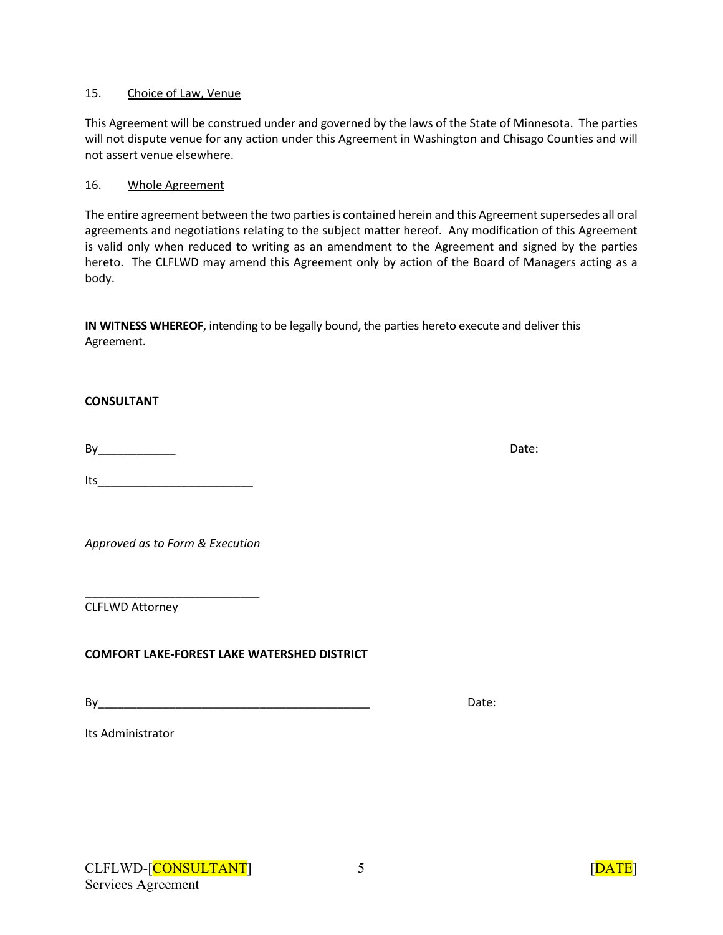#### 15. Choice of Law, Venue

This Agreement will be construed under and governed by the laws of the State of Minnesota. The parties will not dispute venue for any action under this Agreement in Washington and Chisago Counties and will not assert venue elsewhere.

#### 16. Whole Agreement

The entire agreement between the two parties is contained herein and this Agreement supersedes all oral agreements and negotiations relating to the subject matter hereof. Any modification of this Agreement is valid only when reduced to writing as an amendment to the Agreement and signed by the parties hereto. The CLFLWD may amend this Agreement only by action of the Board of Managers acting as a body.

**IN WITNESS WHEREOF**, intending to be legally bound, the parties hereto execute and deliver this Agreement.

#### **CONSULTANT**

By Date:

 $Its$ 

*Approved as to Form & Execution*

\_\_\_\_\_\_\_\_\_\_\_\_\_\_\_\_\_\_\_\_\_\_\_\_\_\_\_

CLFLWD Attorney

**COMFORT LAKE-FOREST LAKE WATERSHED DISTRICT**

By Date:

Its Administrator